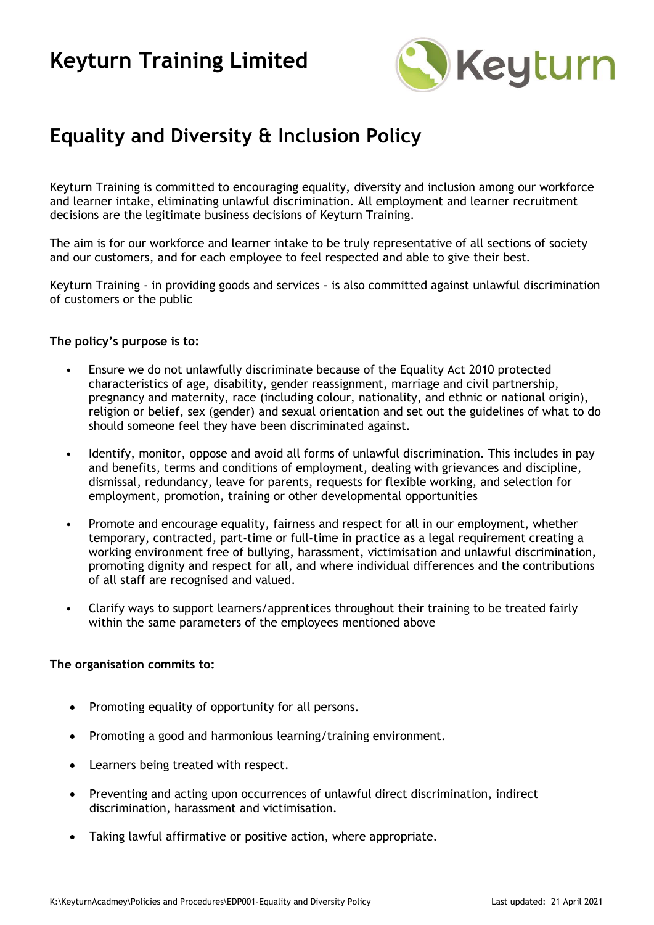

### **Equality and Diversity & Inclusion Policy**

Keyturn Training is committed to encouraging equality, diversity and inclusion among our workforce and learner intake, eliminating unlawful discrimination. All employment and learner recruitment decisions are the legitimate business decisions of Keyturn Training.

The aim is for our workforce and learner intake to be truly representative of all sections of society and our customers, and for each employee to feel respected and able to give their best.

Keyturn Training - in providing goods and services - is also committed against unlawful discrimination of customers or the public

#### **The policy's purpose is to:**

- Ensure we do not unlawfully discriminate because of the Equality Act 2010 protected characteristics of age, disability, gender reassignment, marriage and civil partnership, pregnancy and maternity, race (including colour, nationality, and ethnic or national origin), religion or belief, sex (gender) and sexual orientation and set out the guidelines of what to do should someone feel they have been discriminated against.
- Identify, monitor, oppose and avoid all forms of unlawful discrimination. This includes in pay and benefits, terms and conditions of employment, dealing with grievances and discipline, dismissal, redundancy, leave for parents, requests for flexible working, and selection for employment, promotion, training or other developmental opportunities
- Promote and encourage equality, fairness and respect for all in our employment, whether temporary, contracted, part-time or full-time in practice as a legal requirement creating a working environment free of bullying, harassment, victimisation and unlawful discrimination, promoting dignity and respect for all, and where individual differences and the contributions of all staff are recognised and valued.
- Clarify ways to support learners/apprentices throughout their training to be treated fairly within the same parameters of the employees mentioned above

#### **The organisation commits to:**

- Promoting equality of opportunity for all persons.
- Promoting a good and harmonious learning/training environment.
- Learners being treated with respect.
- Preventing and acting upon occurrences of unlawful direct discrimination, indirect discrimination, harassment and victimisation.
- Taking lawful affirmative or positive action, where appropriate.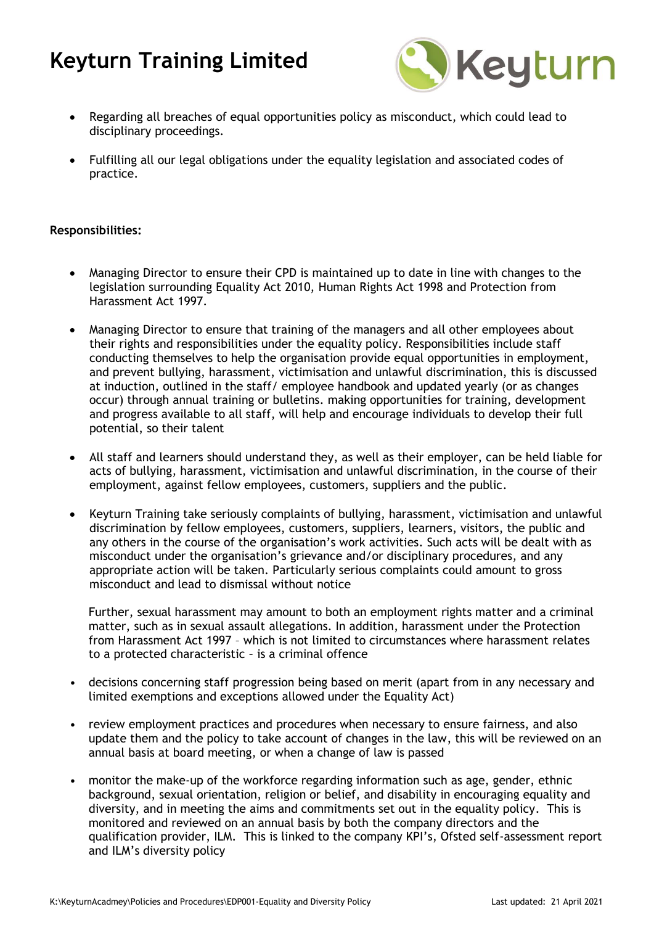

- Regarding all breaches of equal opportunities policy as misconduct, which could lead to disciplinary proceedings.
- Fulfilling all our legal obligations under the equality legislation and associated codes of practice.

#### **Responsibilities:**

- Managing Director to ensure their CPD is maintained up to date in line with changes to the legislation surrounding Equality Act 2010, Human Rights Act 1998 and Protection from Harassment Act 1997.
- Managing Director to ensure that training of the managers and all other employees about their rights and responsibilities under the equality policy. Responsibilities include staff conducting themselves to help the organisation provide equal opportunities in employment, and prevent bullying, harassment, victimisation and unlawful discrimination, this is discussed at induction, outlined in the staff/ employee handbook and updated yearly (or as changes occur) through annual training or bulletins. making opportunities for training, development and progress available to all staff, will help and encourage individuals to develop their full potential, so their talent
- All staff and learners should understand they, as well as their employer, can be held liable for acts of bullying, harassment, victimisation and unlawful discrimination, in the course of their employment, against fellow employees, customers, suppliers and the public.
- Keyturn Training take seriously complaints of bullying, harassment, victimisation and unlawful discrimination by fellow employees, customers, suppliers, learners, visitors, the public and any others in the course of the organisation's work activities. Such acts will be dealt with as misconduct under the organisation's grievance and/or disciplinary procedures, and any appropriate action will be taken. Particularly serious complaints could amount to gross misconduct and lead to dismissal without notice

Further, sexual harassment may amount to both an employment rights matter and a criminal matter, such as in sexual assault allegations. In addition, harassment under the Protection from Harassment Act 1997 – which is not limited to circumstances where harassment relates to a protected characteristic – is a criminal offence

- decisions concerning staff progression being based on merit (apart from in any necessary and limited exemptions and exceptions allowed under the Equality Act)
- review employment practices and procedures when necessary to ensure fairness, and also update them and the policy to take account of changes in the law, this will be reviewed on an annual basis at board meeting, or when a change of law is passed
- monitor the make-up of the workforce regarding information such as age, gender, ethnic background, sexual orientation, religion or belief, and disability in encouraging equality and diversity, and in meeting the aims and commitments set out in the equality policy. This is monitored and reviewed on an annual basis by both the company directors and the qualification provider, ILM. This is linked to the company KPI's, Ofsted self-assessment report and ILM's diversity policy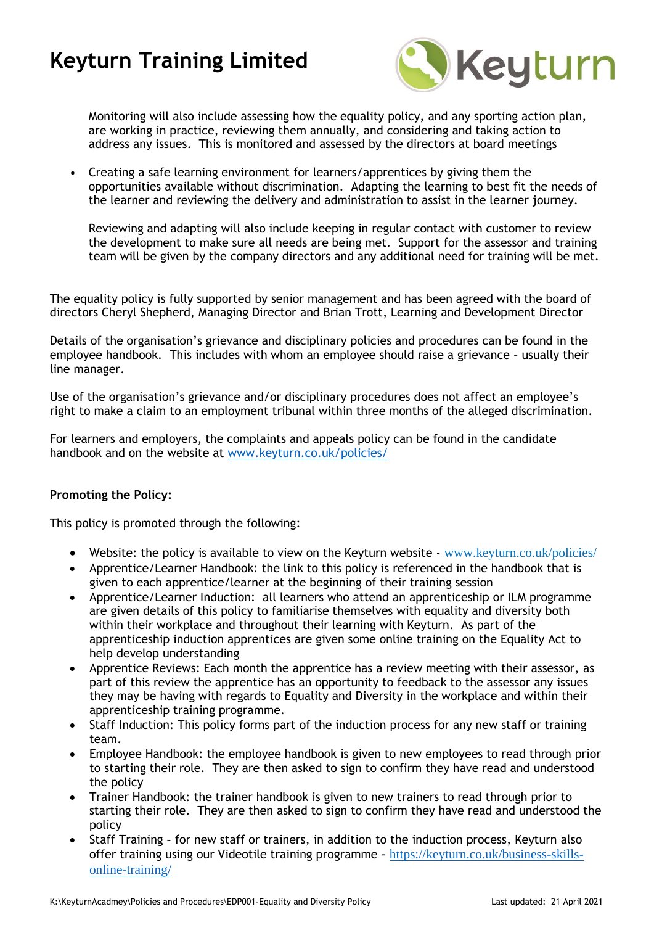

Monitoring will also include assessing how the equality policy, and any sporting action plan, are working in practice, reviewing them annually, and considering and taking action to address any issues. This is monitored and assessed by the directors at board meetings

• Creating a safe learning environment for learners/apprentices by giving them the opportunities available without discrimination. Adapting the learning to best fit the needs of the learner and reviewing the delivery and administration to assist in the learner journey.

Reviewing and adapting will also include keeping in regular contact with customer to review the development to make sure all needs are being met. Support for the assessor and training team will be given by the company directors and any additional need for training will be met.

The equality policy is fully supported by senior management and has been agreed with the board of directors Cheryl Shepherd, Managing Director and Brian Trott, Learning and Development Director

Details of the organisation's grievance and disciplinary policies and procedures can be found in the employee handbook. This includes with whom an employee should raise a grievance – usually their line manager.

Use of the organisation's grievance and/or disciplinary procedures does not affect an employee's right to make a claim to an employment tribunal within three months of the alleged discrimination.

For learners and employers, the complaints and appeals policy can be found in the candidate handbook and on the website at [www.keyturn.co.uk/policies/](http://www.keyturn.co.uk/policies/)

#### **Promoting the Policy:**

This policy is promoted through the following:

- Website: the policy is available to view on the Keyturn website  $-www.keyturn.co.uk/policies/$  $-www.keyturn.co.uk/policies/$
- Apprentice/Learner Handbook: the link to this policy is referenced in the handbook that is given to each apprentice/learner at the beginning of their training session
- Apprentice/Learner Induction: all learners who attend an apprenticeship or ILM programme are given details of this policy to familiarise themselves with equality and diversity both within their workplace and throughout their learning with Keyturn. As part of the apprenticeship induction apprentices are given some online training on the Equality Act to help develop understanding
- Apprentice Reviews: Each month the apprentice has a review meeting with their assessor, as part of this review the apprentice has an opportunity to feedback to the assessor any issues they may be having with regards to Equality and Diversity in the workplace and within their apprenticeship training programme.
- Staff Induction: This policy forms part of the induction process for any new staff or training team.
- Employee Handbook: the employee handbook is given to new employees to read through prior to starting their role. They are then asked to sign to confirm they have read and understood the policy
- Trainer Handbook: the trainer handbook is given to new trainers to read through prior to starting their role. They are then asked to sign to confirm they have read and understood the policy
- Staff Training for new staff or trainers, in addition to the induction process, Keyturn also offer training using our Videotile training programme - [https://keyturn.co.uk/business-skills](https://keyturn.co.uk/business-skills-online-training/)[online-training/](https://keyturn.co.uk/business-skills-online-training/)